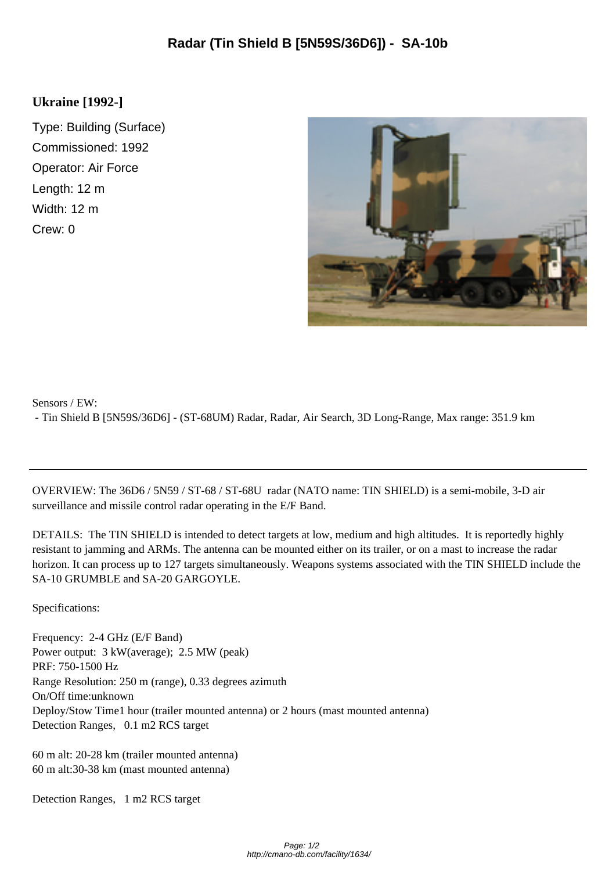## **Ukraine [1992-]**

Type: Building (Surface) Commissioned: 1992 Operator: Air Force Length: 12 m Width: 12 m Crew: 0



Sensors / EW:

- Tin Shield B [5N59S/36D6] - (ST-68UM) Radar, Radar, Air Search, 3D Long-Range, Max range: 351.9 km

OVERVIEW: The 36D6 / 5N59 / ST-68 / ST-68U radar (NATO name: TIN SHIELD) is a semi-mobile, 3-D air surveillance and missile control radar operating in the E/F Band.

DETAILS: The TIN SHIELD is intended to detect targets at low, medium and high altitudes. It is reportedly highly resistant to jamming and ARMs. The antenna can be mounted either on its trailer, or on a mast to increase the radar horizon. It can process up to 127 targets simultaneously. Weapons systems associated with the TIN SHIELD include the SA-10 GRUMBLE and SA-20 GARGOYLE.

Specifications:

Frequency: 2-4 GHz (E/F Band) Power output:  $3 \text{ kW}$ (average); 2.5 MW (peak) PRF: 750-1500 Hz Range Resolution: 250 m (range), 0.33 degrees azimuth On/Off time: unknown Deploy/Stow Time 1 hour (trailer mounted antenna) or 2 hours (mast mounted antenna) Detection Ranges, 0.1 m2 RCS target

 60 m alt: 20-28 km (trailer mounted antenna) 60 m alt: 30-38 km (mast mounted antenna)

Detection Ranges, 1 m2 RCS target